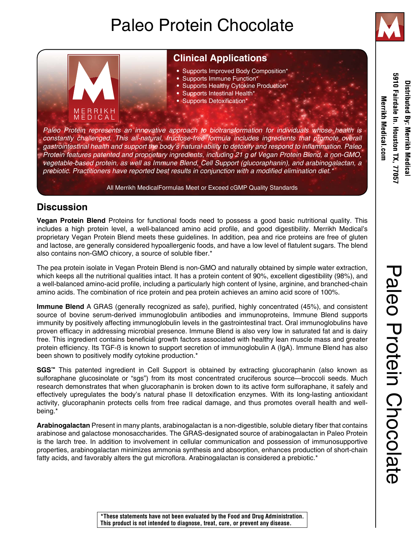# Paleo Protein Chocolate



5910 Fairdale In. Houston TX, 7705 Distributed By: Merrikh Medical **Merrikh Medical .com** 

## **Clinical Applications**

- Supports Improved Body Composition\*
- Supports Immune Function\*
- Supports Healthy Cytokine Production\*
- Supports Intestinal Health\*
- Supports Detoxification\*

*Paleo Protein represents an innovative approach to biotransformation for individuals whose health is constantly challenged. This all-natural, fructose-free formula includes ingredients that promote overall*  gastrointestinal health and support the body's natural ability to detoxify and respond to inflammation. Paleo *Protein features patented and proprietary ingredients, including 21 g of Vegan Protein Blend, a non-GMO, vegetable-based protein, as well as Immune Blend, Cell Support (glucoraphanin), and arabinogalactan, a*  prebiotic. Practitioners have reported best results in conjunction with a modified elimination diet.\*

All Merrikh MedicalFormulas Meet or Exceed cGMP Quality Standards

### **Discussion**

ERRIKH<br>EDICAL

**Vegan Protein Blend** Proteins for functional foods need to possess a good basic nutritional quality. This includes a high protein level, a well-balanced amino acid profile, and good digestibility. Merrikh Medical's proprietary Vegan Protein Blend meets these guidelines. In addition, pea and rice proteins are free of gluten and lactose, are generally considered hypoallergenic foods, and have a low level of flatulent sugars. The blend also contains non-GMO chicory, a source of soluble fiber.\*

The pea protein isolate in Vegan Protein Blend is non-GMO and naturally obtained by simple water extraction, which keeps all the nutritional qualities intact. It has a protein content of 90%, excellent digestibility (98%), and a well-balanced amino-acid profile, including a particularly high content of lysine, arginine, and branched-chain amino acids. The combination of rice protein and pea protein achieves an amino acid score of 100%.

**Immune Blend** A GRAS (generally recognized as safe), purified, highly concentrated (45%), and consistent source of bovine serum-derived immunoglobulin antibodies and immunoproteins, Immune Blend supports immunity by positively affecting immunoglobulin levels in the gastrointestinal tract. Oral immunoglobulins have proven efficacy in addressing microbial presence. Immune Blend is also very low in saturated fat and is dairy free. This ingredient contains beneficial growth factors associated with healthy lean muscle mass and greater protein efficiency. Its TGF-ß is known to support secretion of immunoglobulin A (IgA). Immune Blend has also been shown to positively modify cytokine production.\*

**SGS™** This patented ingredient in Cell Support is obtained by extracting glucoraphanin (also known as sulforaphane glucosinolate or "sgs") from its most concentrated cruciferous source—broccoli seeds. Much research demonstrates that when glucoraphanin is broken down to its active form sulforaphane, it safely and effectively upregulates the body's natural phase II detoxification enzymes. With its long-lasting antioxidant activity, glucoraphanin protects cells from free radical damage, and thus promotes overall health and wellbeing.\*

**Arabinogalactan** Present in many plants, arabinogalactan is a non-digestible, soluble dietary fiber that contains arabinose and galactose monosaccharides. The GRAS-designated source of arabinogalactan in Paleo Protein is the larch tree. In addition to involvement in cellular communication and possession of immunosupportive properties, arabinogalactan minimizes ammonia synthesis and absorption, enhances production of short-chain fatty acids, and favorably alters the gut microflora. Arabinogalactan is considered a prebiotic.\*

**\*These statements have not been evaluated by the Food and Drug Administration. This product is not intended to diagnose, treat, cure, or prevent any disease.**